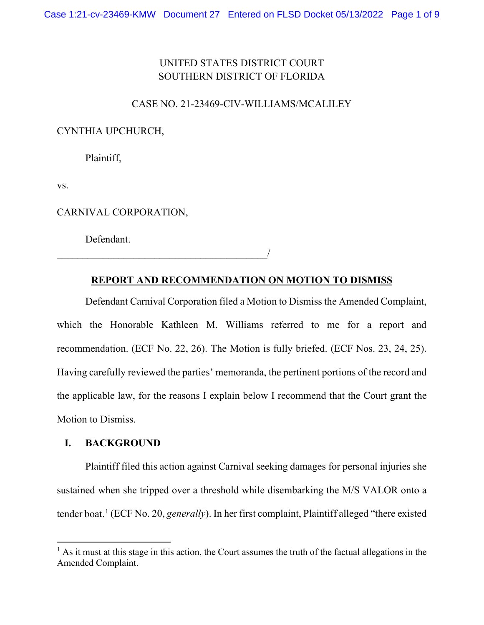# UNITED STATES DISTRICT COURT SOUTHERN DISTRICT OF FLORIDA

# CASE NO. 21-23469-CIV-WILLIAMS/MCALILEY

# CYNTHIA UPCHURCH,

Plaintiff,

vs.

CARNIVAL CORPORATION,

\_\_\_\_\_\_\_\_\_\_\_\_\_\_\_\_\_\_\_\_\_\_\_\_\_\_\_\_\_\_\_\_\_\_\_\_\_\_\_\_\_/

Defendant.

### **REPORT AND RECOMMENDATION ON MOTION TO DISMISS**

Defendant Carnival Corporation filed a Motion to Dismiss the Amended Complaint, which the Honorable Kathleen M. Williams referred to me for a report and recommendation. (ECF No. 22, 26). The Motion is fully briefed. (ECF Nos. 23, 24, 25). Having carefully reviewed the parties' memoranda, the pertinent portions of the record and the applicable law, for the reasons I explain below I recommend that the Court grant the Motion to Dismiss.

### **I. BACKGROUND**

Plaintiff filed this action against Carnival seeking damages for personal injuries she sustained when she tripped over a threshold while disembarking the M/S VALOR onto a tender boat.[1](#page-0-0) (ECF No. 20, *generally*). In her first complaint, Plaintiff alleged "there existed

<span id="page-0-0"></span> $<sup>1</sup>$  As it must at this stage in this action, the Court assumes the truth of the factual allegations in the</sup> Amended Complaint.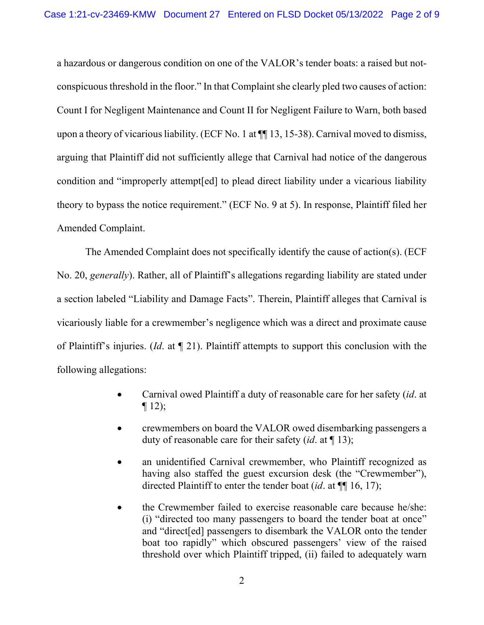a hazardous or dangerous condition on one of the VALOR's tender boats: a raised but notconspicuous threshold in the floor." In that Complaint she clearly pled two causes of action: Count I for Negligent Maintenance and Count II for Negligent Failure to Warn, both based upon a theory of vicarious liability. (ECF No. 1 at ¶¶ 13, 15-38). Carnival moved to dismiss, arguing that Plaintiff did not sufficiently allege that Carnival had notice of the dangerous condition and "improperly attempt[ed] to plead direct liability under a vicarious liability theory to bypass the notice requirement." (ECF No. 9 at 5). In response, Plaintiff filed her Amended Complaint.

The Amended Complaint does not specifically identify the cause of action(s). (ECF No. 20, *generally*). Rather, all of Plaintiff's allegations regarding liability are stated under a section labeled "Liability and Damage Facts". Therein, Plaintiff alleges that Carnival is vicariously liable for a crewmember's negligence which was a direct and proximate cause of Plaintiff's injuries. (*Id*. at ¶ 21). Plaintiff attempts to support this conclusion with the following allegations:

- Carnival owed Plaintiff a duty of reasonable care for her safety (*id*. at  $\P$  12);
- crewmembers on board the VALOR owed disembarking passengers a duty of reasonable care for their safety (*id*. at ¶ 13);
- an unidentified Carnival crewmember, who Plaintiff recognized as having also staffed the guest excursion desk (the "Crewmember"), directed Plaintiff to enter the tender boat (*id*. at ¶¶ 16, 17);
- the Crewmember failed to exercise reasonable care because he/she: (i) "directed too many passengers to board the tender boat at once" and "direct[ed] passengers to disembark the VALOR onto the tender boat too rapidly" which obscured passengers' view of the raised threshold over which Plaintiff tripped, (ii) failed to adequately warn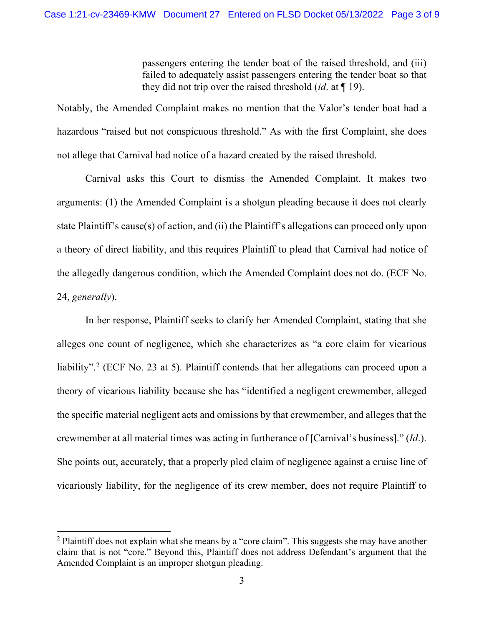passengers entering the tender boat of the raised threshold, and (iii) failed to adequately assist passengers entering the tender boat so that they did not trip over the raised threshold (*id*. at ¶ 19).

Notably, the Amended Complaint makes no mention that the Valor's tender boat had a hazardous "raised but not conspicuous threshold." As with the first Complaint, she does not allege that Carnival had notice of a hazard created by the raised threshold.

Carnival asks this Court to dismiss the Amended Complaint. It makes two arguments: (1) the Amended Complaint is a shotgun pleading because it does not clearly state Plaintiff's cause(s) of action, and (ii) the Plaintiff's allegations can proceed only upon a theory of direct liability, and this requires Plaintiff to plead that Carnival had notice of the allegedly dangerous condition, which the Amended Complaint does not do. (ECF No. 24, *generally*).

In her response, Plaintiff seeks to clarify her Amended Complaint, stating that she alleges one count of negligence, which she characterizes as "a core claim for vicarious liability".<sup>[2](#page-2-0)</sup> (ECF No. 23 at 5). Plaintiff contends that her allegations can proceed upon a theory of vicarious liability because she has "identified a negligent crewmember, alleged the specific material negligent acts and omissions by that crewmember, and alleges that the crewmember at all material times was acting in furtherance of [Carnival's business]." (*Id*.). She points out, accurately, that a properly pled claim of negligence against a cruise line of vicariously liability, for the negligence of its crew member, does not require Plaintiff to

<span id="page-2-0"></span> $2$  Plaintiff does not explain what she means by a "core claim". This suggests she may have another claim that is not "core." Beyond this, Plaintiff does not address Defendant's argument that the Amended Complaint is an improper shotgun pleading.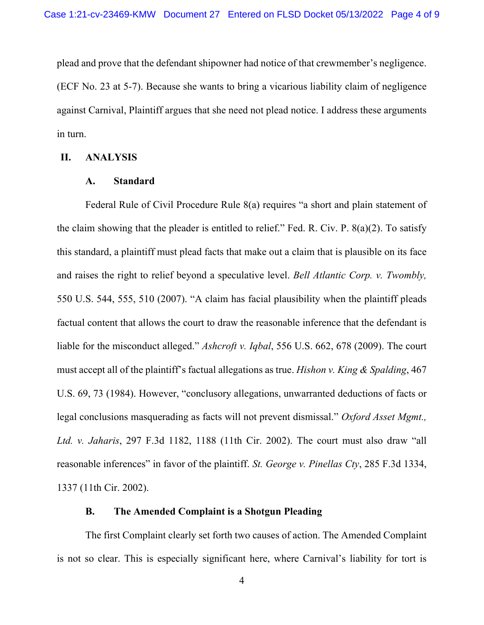plead and prove that the defendant shipowner had notice of that crewmember's negligence. (ECF No. 23 at 5-7). Because she wants to bring a vicarious liability claim of negligence against Carnival, Plaintiff argues that she need not plead notice. I address these arguments in turn.

### **II. ANALYSIS**

#### **A. Standard**

Federal Rule of Civil Procedure Rule 8(a) requires "a short and plain statement of the claim showing that the pleader is entitled to relief." Fed. R. Civ. P. 8(a)(2). To satisfy this standard, a plaintiff must plead facts that make out a claim that is plausible on its face and raises the right to relief beyond a speculative level. *Bell Atlantic Corp. v. Twombly,*  550 U.S. 544, 555, 510 (2007). "A claim has facial plausibility when the plaintiff pleads factual content that allows the court to draw the reasonable inference that the defendant is liable for the misconduct alleged." *Ashcroft v. Iqbal*, 556 U.S. 662, 678 (2009). The court must accept all of the plaintiff's factual allegations as true. *Hishon v. King & Spalding*, 467 U.S. 69, 73 (1984). However, "conclusory allegations, unwarranted deductions of facts or legal conclusions masquerading as facts will not prevent dismissal." *Oxford Asset Mgmt., Ltd. v. Jaharis*, 297 F.3d 1182, 1188 (11th Cir. 2002). The court must also draw "all reasonable inferences" in favor of the plaintiff. *St. George v. Pinellas Cty*, 285 F.3d 1334, 1337 (11th Cir. 2002).

### **B. The Amended Complaint is a Shotgun Pleading**

The first Complaint clearly set forth two causes of action. The Amended Complaint is not so clear. This is especially significant here, where Carnival's liability for tort is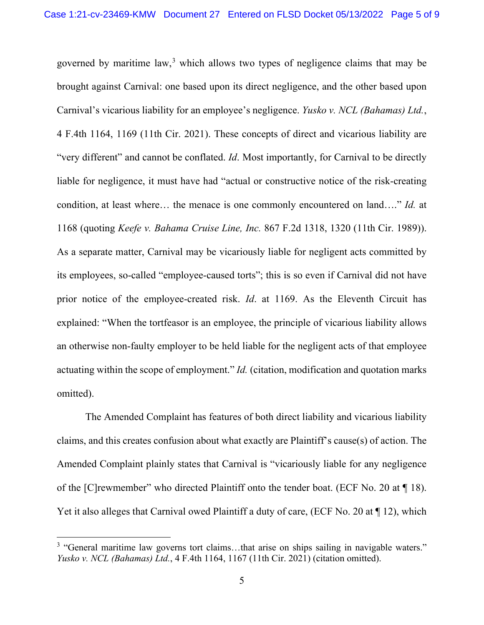governed by maritime law, $3$  which allows two types of negligence claims that may be brought against Carnival: one based upon its direct negligence, and the other based upon Carnival's vicarious liability for an employee's negligence. *Yusko v. NCL (Bahamas) Ltd.*, 4 F.4th 1164, 1169 (11th Cir. 2021). These concepts of direct and vicarious liability are "very different" and cannot be conflated. *Id*. Most importantly, for Carnival to be directly liable for negligence, it must have had "actual or constructive notice of the risk-creating condition, at least where… the menace is one commonly encountered on land…." *Id.* at 1168 (quoting *Keefe v. Bahama Cruise Line, Inc.* 867 F.2d 1318, 1320 (11th Cir. 1989)). As a separate matter, Carnival may be vicariously liable for negligent acts committed by its employees, so-called "employee-caused torts"; this is so even if Carnival did not have prior notice of the employee-created risk. *Id*. at 1169. As the Eleventh Circuit has explained: "When the tortfeasor is an employee, the principle of vicarious liability allows an otherwise non-faulty employer to be held liable for the negligent acts of that employee actuating within the scope of employment." *Id.* (citation, modification and quotation marks omitted).

The Amended Complaint has features of both direct liability and vicarious liability claims, and this creates confusion about what exactly are Plaintiff's cause(s) of action. The Amended Complaint plainly states that Carnival is "vicariously liable for any negligence of the [C]rewmember" who directed Plaintiff onto the tender boat. (ECF No. 20 at ¶ 18). Yet it also alleges that Carnival owed Plaintiff a duty of care, (ECF No. 20 at ¶ 12), which

<span id="page-4-0"></span><sup>&</sup>lt;sup>3</sup> "General maritime law governs tort claims...that arise on ships sailing in navigable waters." *Yusko v. NCL (Bahamas) Ltd.*, 4 F.4th 1164, 1167 (11th Cir. 2021) (citation omitted).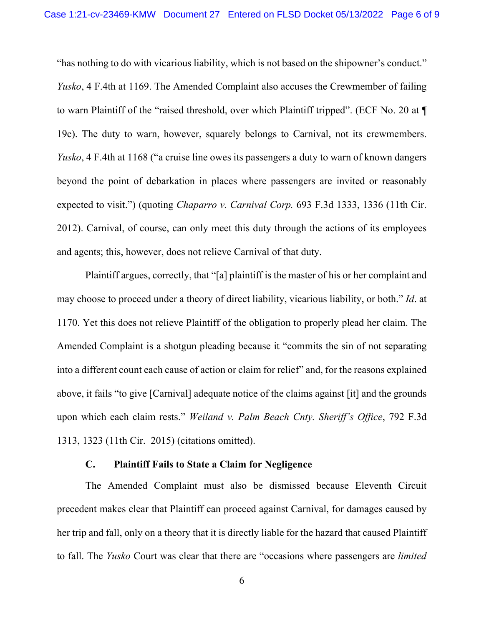"has nothing to do with vicarious liability, which is not based on the shipowner's conduct." *Yusko*, 4 F.4th at 1169. The Amended Complaint also accuses the Crewmember of failing to warn Plaintiff of the "raised threshold, over which Plaintiff tripped". (ECF No. 20 at ¶ 19c). The duty to warn, however, squarely belongs to Carnival, not its crewmembers. *Yusko*, 4 F.4th at 1168 ("a cruise line owes its passengers a duty to warn of known dangers beyond the point of debarkation in places where passengers are invited or reasonably expected to visit.") (quoting *Chaparro v. Carnival Corp.* 693 F.3d 1333, 1336 (11th Cir. 2012). Carnival, of course, can only meet this duty through the actions of its employees and agents; this, however, does not relieve Carnival of that duty.

Plaintiff argues, correctly, that "[a] plaintiff is the master of his or her complaint and may choose to proceed under a theory of direct liability, vicarious liability, or both." *Id*. at 1170. Yet this does not relieve Plaintiff of the obligation to properly plead her claim. The Amended Complaint is a shotgun pleading because it "commits the sin of not separating into a different count each cause of action or claim for relief" and, for the reasons explained above, it fails "to give [Carnival] adequate notice of the claims against [it] and the grounds upon which each claim rests." *Weiland v. Palm Beach Cnty. Sheriff's Office*, 792 F.3d 1313, 1323 (11th Cir. 2015) (citations omitted).

# **C. Plaintiff Fails to State a Claim for Negligence**

The Amended Complaint must also be dismissed because Eleventh Circuit precedent makes clear that Plaintiff can proceed against Carnival, for damages caused by her trip and fall, only on a theory that it is directly liable for the hazard that caused Plaintiff to fall. The *Yusko* Court was clear that there are "occasions where passengers are *limited*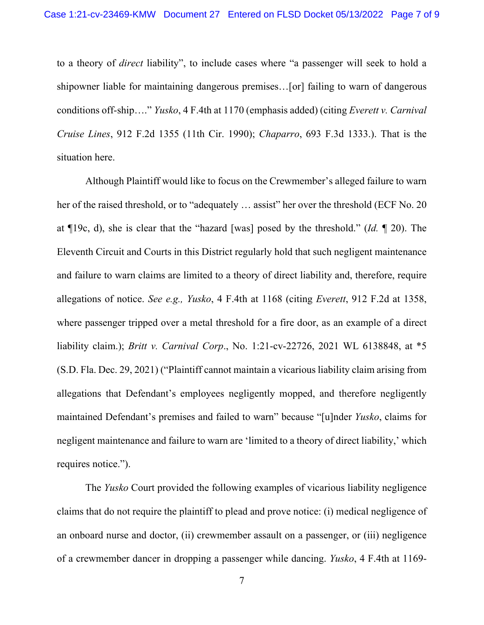to a theory of *direct* liability", to include cases where "a passenger will seek to hold a shipowner liable for maintaining dangerous premises…[or] failing to warn of dangerous conditions off-ship…." *Yusko*, 4 F.4th at 1170 (emphasis added) (citing *Everett v. Carnival Cruise Lines*, 912 F.2d 1355 (11th Cir. 1990); *Chaparro*, 693 F.3d 1333.). That is the situation here.

Although Plaintiff would like to focus on the Crewmember's alleged failure to warn her of the raised threshold, or to "adequately ... assist" her over the threshold (ECF No. 20 at ¶19c, d), she is clear that the "hazard [was] posed by the threshold." (*Id.* ¶ 20). The Eleventh Circuit and Courts in this District regularly hold that such negligent maintenance and failure to warn claims are limited to a theory of direct liability and, therefore, require allegations of notice. *See e.g., Yusko*, 4 F.4th at 1168 (citing *Everett*, 912 F.2d at 1358, where passenger tripped over a metal threshold for a fire door, as an example of a direct liability claim.); *Britt v. Carnival Corp*., No. 1:21-cv-22726, 2021 WL 6138848, at \*5 (S.D. Fla. Dec. 29, 2021) ("Plaintiff cannot maintain a vicarious liability claim arising from allegations that Defendant's employees negligently mopped, and therefore negligently maintained Defendant's premises and failed to warn" because "[u]nder *Yusko*, claims for negligent maintenance and failure to warn are 'limited to a theory of direct liability,' which requires notice.").

The *Yusko* Court provided the following examples of vicarious liability negligence claims that do not require the plaintiff to plead and prove notice: (i) medical negligence of an onboard nurse and doctor, (ii) crewmember assault on a passenger, or (iii) negligence of a crewmember dancer in dropping a passenger while dancing. *Yusko*, 4 F.4th at 1169-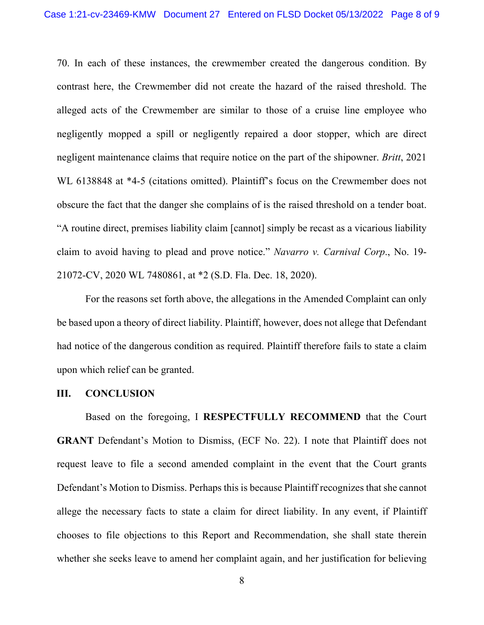70. In each of these instances, the crewmember created the dangerous condition. By contrast here, the Crewmember did not create the hazard of the raised threshold. The alleged acts of the Crewmember are similar to those of a cruise line employee who negligently mopped a spill or negligently repaired a door stopper, which are direct negligent maintenance claims that require notice on the part of the shipowner. *Britt*, 2021 WL 6138848 at \*4-5 (citations omitted). Plaintiff's focus on the Crewmember does not obscure the fact that the danger she complains of is the raised threshold on a tender boat. "A routine direct, premises liability claim [cannot] simply be recast as a vicarious liability claim to avoid having to plead and prove notice." *Navarro v. Carnival Corp*., No. 19- 21072-CV, 2020 WL 7480861, at \*2 (S.D. Fla. Dec. 18, 2020).

For the reasons set forth above, the allegations in the Amended Complaint can only be based upon a theory of direct liability. Plaintiff, however, does not allege that Defendant had notice of the dangerous condition as required. Plaintiff therefore fails to state a claim upon which relief can be granted.

#### **III. CONCLUSION**

Based on the foregoing, I **RESPECTFULLY RECOMMEND** that the Court **GRANT** Defendant's Motion to Dismiss, (ECF No. 22). I note that Plaintiff does not request leave to file a second amended complaint in the event that the Court grants Defendant's Motion to Dismiss. Perhaps this is because Plaintiff recognizes that she cannot allege the necessary facts to state a claim for direct liability. In any event, if Plaintiff chooses to file objections to this Report and Recommendation, she shall state therein whether she seeks leave to amend her complaint again, and her justification for believing